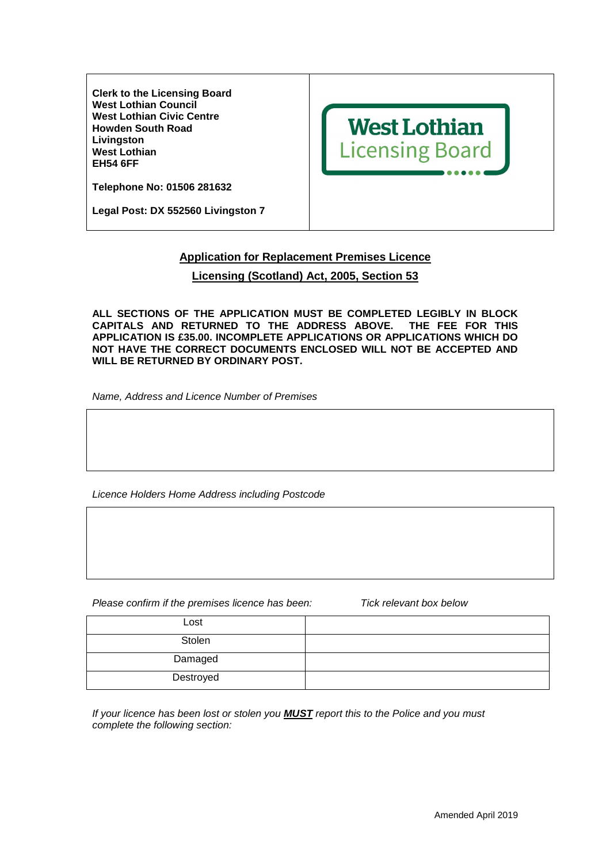**Clerk to the Licensing Board West Lothian Council West Lothian Civic Centre Howden South Road Livingston West Lothian EH54 6FF** 



**Telephone No: 01506 281632** 

**Legal Post: DX 552560 Livingston 7** 

## **Application for Replacement Premises Licence**

## **Licensing (Scotland) Act, 2005, Section 53**

**ALL SECTIONS OF THE APPLICATION MUST BE COMPLETED LEGIBLY IN BLOCK CAPITALS AND RETURNED TO THE ADDRESS ABOVE. THE FEE FOR THIS APPLICATION IS £35.00. INCOMPLETE APPLICATIONS OR APPLICATIONS WHICH DO NOT HAVE THE CORRECT DOCUMENTS ENCLOSED WILL NOT BE ACCEPTED AND WILL BE RETURNED BY ORDINARY POST.** 

Name, Address and Licence Number of Premises

Licence Holders Home Address including Postcode

Please confirm if the premises licence has been: Tick relevant box below

| Lost      |  |
|-----------|--|
| Stolen    |  |
| Damaged   |  |
| Destroyed |  |

If your licence has been lost or stolen you **MUST** report this to the Police and you must complete the following section: